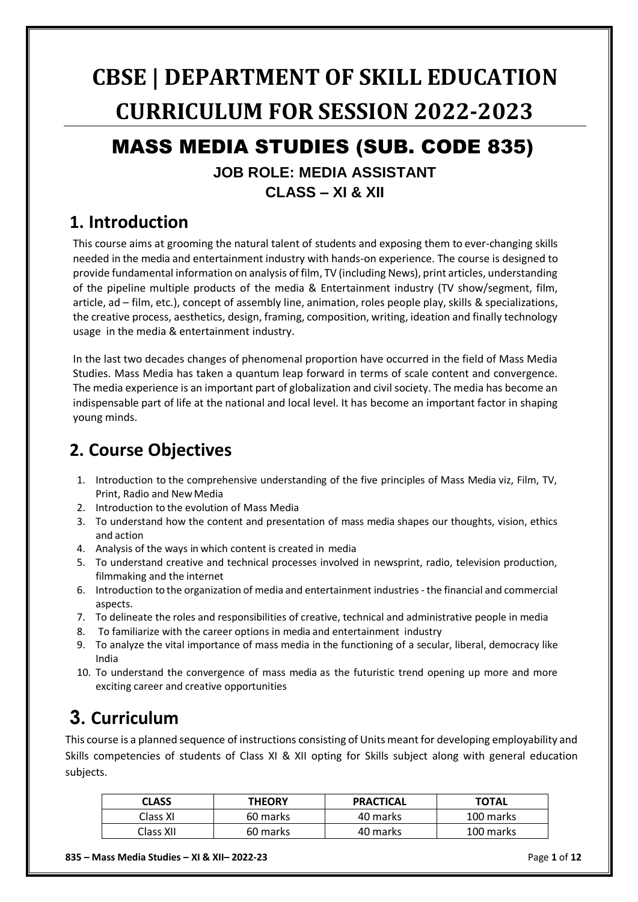# **CBSE | DEPARTMENT OF SKILL EDUCATION CURRICULUM FOR SESSION 2022-2023**

# MASS MEDIA STUDIES (SUB. CODE 835)

### **JOB ROLE: MEDIA ASSISTANT CLASS – XI & XII**

## **1. Introduction**

This course aims at grooming the natural talent of students and exposing them to ever-changing skills needed in the media and entertainment industry with hands-on experience. The course is designed to provide fundamental information on analysis of film, TV (including News), print articles, understanding of the pipeline multiple products of the media & Entertainment industry (TV show/segment, film, article, ad – film, etc.), concept of assembly line, animation, roles people play, skills & specializations, the creative process, aesthetics, design, framing, composition, writing, ideation and finally technology usage in the media & entertainment industry.

In the last two decades changes of phenomenal proportion have occurred in the field of Mass Media Studies. Mass Media has taken a quantum leap forward in terms of scale content and convergence. The media experience is an important part of globalization and civil society. The media has become an indispensable part of life at the national and local level. It has become an important factor in shaping young minds.

# **2. Course Objectives**

- 1. Introduction to the comprehensive understanding of the five principles of Mass Media viz, Film, TV, Print, Radio and NewMedia
- 2. Introduction to the evolution of Mass Media
- 3. To understand how the content and presentation of mass media shapes our thoughts, vision, ethics and action
- 4. Analysis of the ways in which content is created in media
- 5. To understand creative and technical processes involved in newsprint, radio, television production, filmmaking and the internet
- 6. Introduction to the organization of media and entertainment industries the financial and commercial aspects.
- 7. To delineate the roles and responsibilities of creative, technical and administrative people in media
- 8. To familiarize with the career options in media and entertainment industry
- 9. To analyze the vital importance of mass media in the functioning of a secular, liberal, democracy like India
- 10. To understand the convergence of mass media as the futuristic trend opening up more and more exciting career and creative opportunities

# **3. Curriculum**

This course is a planned sequence of instructions consisting of Units meant for developing employability and Skills competencies of students of Class XI & XII opting for Skills subject along with general education subjects.

| CLASS     | <b>THEORY</b> | <b>PRACTICAL</b> | <b>TOTAL</b> |
|-----------|---------------|------------------|--------------|
| Class XI  | 60 marks      | 40 marks         | 100 marks    |
| Class XII | 60 marks      | 40 marks         | 100 marks    |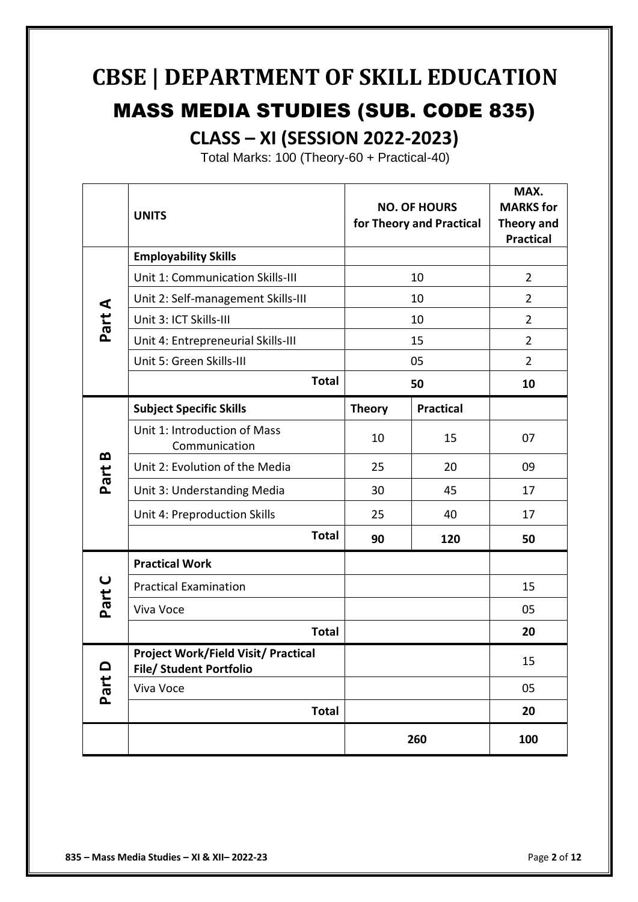# **CBSE | DEPARTMENT OF SKILL EDUCATION** MASS MEDIA STUDIES (SUB. CODE 835) **CLASS – XI (SESSION 2022-2023)**

Total Marks: 100 (Theory-60 + Practical-40)

|           | <b>UNITS</b>                                  |               | <b>NO. OF HOURS</b><br>for Theory and Practical | MAX.<br><b>MARKS</b> for<br><b>Theory and</b><br><b>Practical</b> |
|-----------|-----------------------------------------------|---------------|-------------------------------------------------|-------------------------------------------------------------------|
|           | <b>Employability Skills</b>                   |               |                                                 |                                                                   |
|           | Unit 1: Communication Skills-III              | 10            |                                                 | $\overline{2}$                                                    |
|           | Unit 2: Self-management Skills-III            | 10            |                                                 | $\overline{2}$                                                    |
| Part A    | Unit 3: ICT Skills-III                        | 10            |                                                 | $\overline{2}$                                                    |
|           | Unit 4: Entrepreneurial Skills-III            |               | 15                                              | $\overline{2}$                                                    |
|           | Unit 5: Green Skills-III                      |               | 05                                              | $\overline{2}$                                                    |
|           | <b>Total</b>                                  | 50            |                                                 | 10                                                                |
|           | <b>Subject Specific Skills</b>                | <b>Theory</b> | <b>Practical</b>                                |                                                                   |
|           | Unit 1: Introduction of Mass<br>Communication | 10            | 15                                              | 07                                                                |
| B<br>Part | Unit 2: Evolution of the Media                | 25            | 20                                              | 09                                                                |
|           | Unit 3: Understanding Media                   | 30            | 45                                              | 17                                                                |
|           | Unit 4: Preproduction Skills                  | 25            | 40                                              | 17                                                                |
|           | <b>Total</b>                                  | 90            | 120                                             | 50                                                                |
|           | <b>Practical Work</b>                         |               |                                                 |                                                                   |
| Part C    | <b>Practical Examination</b>                  |               |                                                 | 15                                                                |
|           | Viva Voce                                     |               |                                                 | 05                                                                |
|           | <b>Total</b>                                  |               |                                                 | 20                                                                |
| Part D    | <b>Project Work/Field Visit/ Practical</b>    |               |                                                 | 15                                                                |
|           | <b>File/ Student Portfolio</b>                |               |                                                 |                                                                   |
|           | Viva Voce                                     |               |                                                 | 05                                                                |
|           | <b>Total</b>                                  |               |                                                 | 20                                                                |
|           |                                               |               | 260                                             | 100                                                               |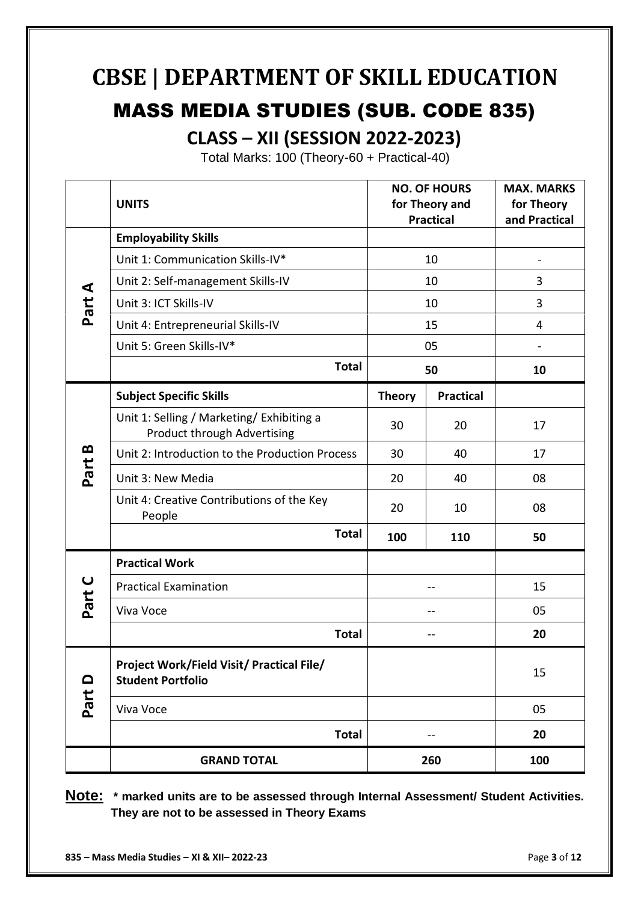# **CBSE | DEPARTMENT OF SKILL EDUCATION**

# MASS MEDIA STUDIES (SUB. CODE 835)

**CLASS – XII (SESSION 2022-2023)**

Total Marks: 100 (Theory-60 + Practical-40)

|                           | <b>UNITS</b>                                                                    |               | <b>NO. OF HOURS</b><br>for Theory and<br><b>Practical</b> | <b>MAX. MARKS</b><br>for Theory<br>and Practical |
|---------------------------|---------------------------------------------------------------------------------|---------------|-----------------------------------------------------------|--------------------------------------------------|
| Part A                    | <b>Employability Skills</b>                                                     |               |                                                           |                                                  |
|                           | Unit 1: Communication Skills-IV*                                                | 10            |                                                           | $\overline{a}$                                   |
|                           | Unit 2: Self-management Skills-IV                                               | 10            |                                                           | 3                                                |
|                           | Unit 3: ICT Skills-IV                                                           | 10            |                                                           | 3                                                |
|                           | Unit 4: Entrepreneurial Skills-IV                                               | 15            |                                                           | 4                                                |
|                           | Unit 5: Green Skills-IV*                                                        |               | 05                                                        |                                                  |
|                           | <b>Total</b>                                                                    | 50            |                                                           | 10                                               |
|                           | <b>Subject Specific Skills</b>                                                  | <b>Theory</b> | <b>Practical</b>                                          |                                                  |
|                           | Unit 1: Selling / Marketing/ Exhibiting a<br><b>Product through Advertising</b> | 30            | 20                                                        | 17                                               |
| Part B                    | Unit 2: Introduction to the Production Process                                  | 30            | 40                                                        | 17                                               |
|                           | Unit 3: New Media                                                               | 20            | 40                                                        | 08                                               |
|                           | Unit 4: Creative Contributions of the Key<br>People                             | 20            | 10                                                        | 08                                               |
|                           | <b>Total</b>                                                                    | 100           | 110                                                       | 50                                               |
|                           | <b>Practical Work</b>                                                           |               |                                                           |                                                  |
| Part C                    | <b>Practical Examination</b>                                                    |               |                                                           | 15                                               |
|                           | Viva Voce                                                                       |               |                                                           | 05                                               |
|                           | <b>Total</b>                                                                    |               |                                                           | 20                                               |
| $\mathbf{\Omega}$<br>Part | Project Work/Field Visit/ Practical File/<br><b>Student Portfolio</b>           |               |                                                           | 15                                               |
|                           | Viva Voce                                                                       |               |                                                           | 05                                               |
|                           | <b>Total</b>                                                                    | --            |                                                           | 20                                               |
|                           | <b>GRAND TOTAL</b>                                                              |               | 260                                                       | 100                                              |

**Note: \* marked units are to be assessed through Internal Assessment/ Student Activities. They are not to be assessed in Theory Exams**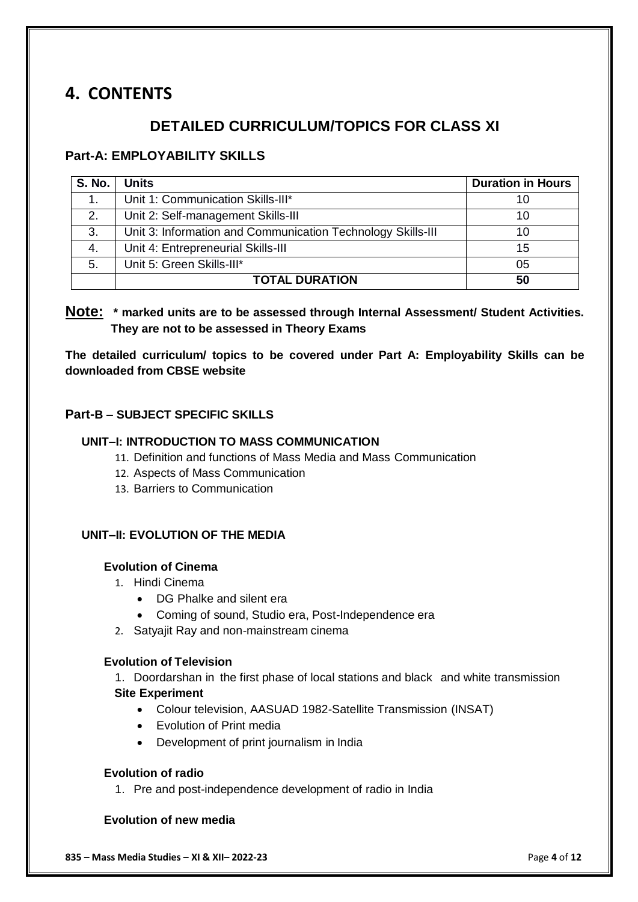# **4. CONTENTS**

### **DETAILED CURRICULUM/TOPICS FOR CLASS XI**

#### **Part-A: EMPLOYABILITY SKILLS**

| <b>S. No.</b> | <b>Units</b>                                                | <b>Duration in Hours</b> |
|---------------|-------------------------------------------------------------|--------------------------|
| 1.            | Unit 1: Communication Skills-III*                           | 10                       |
| 2.            | Unit 2: Self-management Skills-III                          | 10                       |
| 3.            | Unit 3: Information and Communication Technology Skills-III | 10                       |
| 4.            | Unit 4: Entrepreneurial Skills-III                          | 15                       |
| 5.            | Unit 5: Green Skills-III*                                   | 05                       |
|               | <b>TOTAL DURATION</b>                                       | 50                       |

#### **Note: \* marked units are to be assessed through Internal Assessment/ Student Activities. They are not to be assessed in Theory Exams**

**The detailed curriculum/ topics to be covered under Part A: Employability Skills can be downloaded from CBSE website**

#### **Part-B – SUBJECT SPECIFIC SKILLS**

#### **UNIT–I: INTRODUCTION TO MASS COMMUNICATION**

- 11. Definition and functions of Mass Media and Mass Communication
- 12. Aspects of Mass Communication
- 13. Barriers to Communication

#### **UNIT–II: EVOLUTION OF THE MEDIA**

#### **Evolution of Cinema**

- 1. Hindi Cinema
	- DG Phalke and silent era
	- Coming of sound, Studio era, Post-Independence era
- 2. Satyajit Ray and non-mainstream cinema

#### **Evolution of Television**

1. Doordarshan in the first phase of local stations and black and white transmission **Site Experiment**

- Colour television, AASUAD 1982-Satellite Transmission (INSAT)
- Evolution of Print media
- Development of print journalism in India

#### **Evolution of radio**

1. Pre and post-independence development of radio in India

#### **Evolution of new media**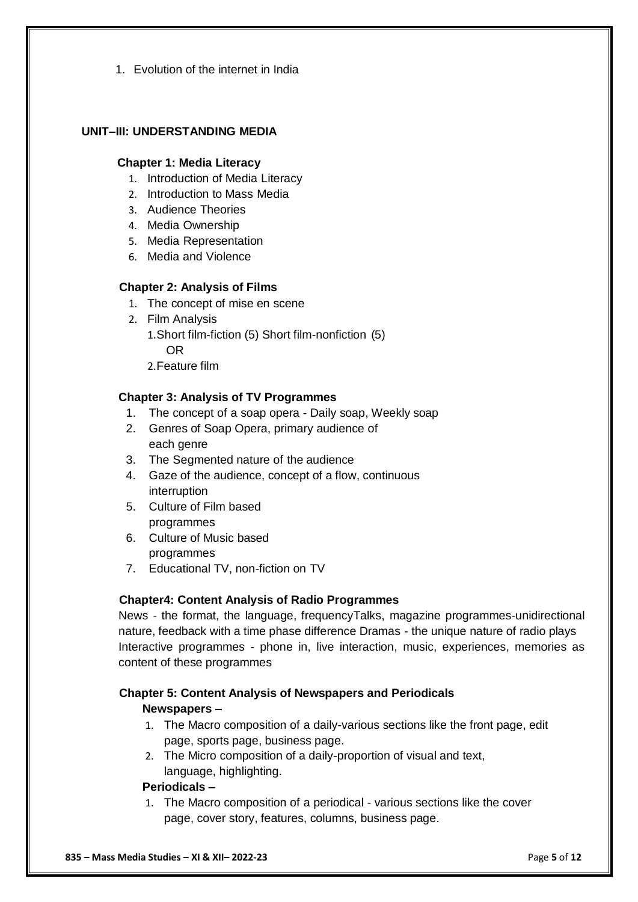1. Evolution of the internet in India

#### **UNIT–III: UNDERSTANDING MEDIA**

#### **Chapter 1: Media Literacy**

- 1. Introduction of Media Literacy
- 2. Introduction to Mass Media
- 3. Audience Theories
- 4. Media Ownership
- 5. Media Representation
- 6. Media and Violence

#### **Chapter 2: Analysis of Films**

- 1. The concept of mise en scene
- 2. Film Analysis
	- 1.Short film-fiction (5) Short film-nonfiction (5) OR
	- 2.Feature film

#### **Chapter 3: Analysis of TV Programmes**

- 1. The concept of a soap opera Daily soap, Weekly soap
- 2. Genres of Soap Opera, primary audience of each genre
- 3. The Segmented nature of the audience
- 4. Gaze of the audience, concept of a flow, continuous interruption
- 5. Culture of Film based programmes
- 6. Culture of Music based programmes
- 7. Educational TV, non-fiction on TV

#### **Chapter4: Content Analysis of Radio Programmes**

News - the format, the language, frequencyTalks, magazine programmes-unidirectional nature, feedback with a time phase difference Dramas - the unique nature of radio plays Interactive programmes - phone in, live interaction, music, experiences, memories as content of these programmes

#### **Chapter 5: Content Analysis of Newspapers and Periodicals**

#### **Newspapers –**

- 1. The Macro composition of a daily-various sections like the front page, edit page, sports page, business page.
- 2. The Micro composition of a daily-proportion of visual and text, language, highlighting.

#### **Periodicals –**

1. The Macro composition of a periodical - various sections like the cover page, cover story, features, columns, business page.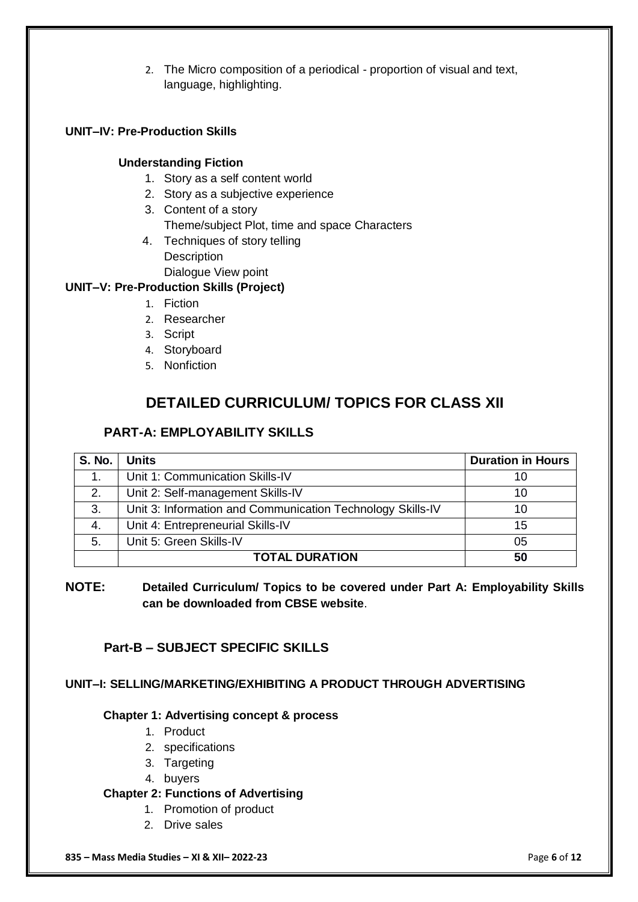2. The Micro composition of a periodical - proportion of visual and text, language, highlighting.

#### **UNIT–IV: Pre-Production Skills**

#### **Understanding Fiction**

- 1. Story as a self content world
- 2. Story as a subjective experience
- 3. Content of a story
	- Theme/subject Plot, time and space Characters
- 4. Techniques of story telling **Description** Dialogue View point

#### **UNIT–V: Pre-Production Skills (Project)**

- 1. Fiction
- 2. Researcher
- 3. Script
- 4. Storyboard
- 5. Nonfiction

### **DETAILED CURRICULUM/ TOPICS FOR CLASS XII**

#### **PART-A: EMPLOYABILITY SKILLS**

| <b>S. No.</b> | <b>Units</b>                                               | <b>Duration in Hours</b> |
|---------------|------------------------------------------------------------|--------------------------|
|               | Unit 1: Communication Skills-IV                            | 10                       |
| 2.            | Unit 2: Self-management Skills-IV                          | 10                       |
| 3.            | Unit 3: Information and Communication Technology Skills-IV | 10                       |
| 4.            | Unit 4: Entrepreneurial Skills-IV                          | 15                       |
| 5.            | Unit 5: Green Skills-IV                                    | 05                       |
|               | <b>TOTAL DURATION</b>                                      | 50                       |

**NOTE: Detailed Curriculum/ Topics to be covered under Part A: Employability Skills can be downloaded from CBSE website**.

#### **Part-B – SUBJECT SPECIFIC SKILLS**

#### **UNIT–I: SELLING/MARKETING/EXHIBITING A PRODUCT THROUGH ADVERTISING**

#### **Chapter 1: Advertising concept & process**

- 1. Product
- 2. specifications
- 3. Targeting
- 4. buyers

#### **Chapter 2: Functions of Advertising**

- 1. Promotion of product
- 2. Drive sales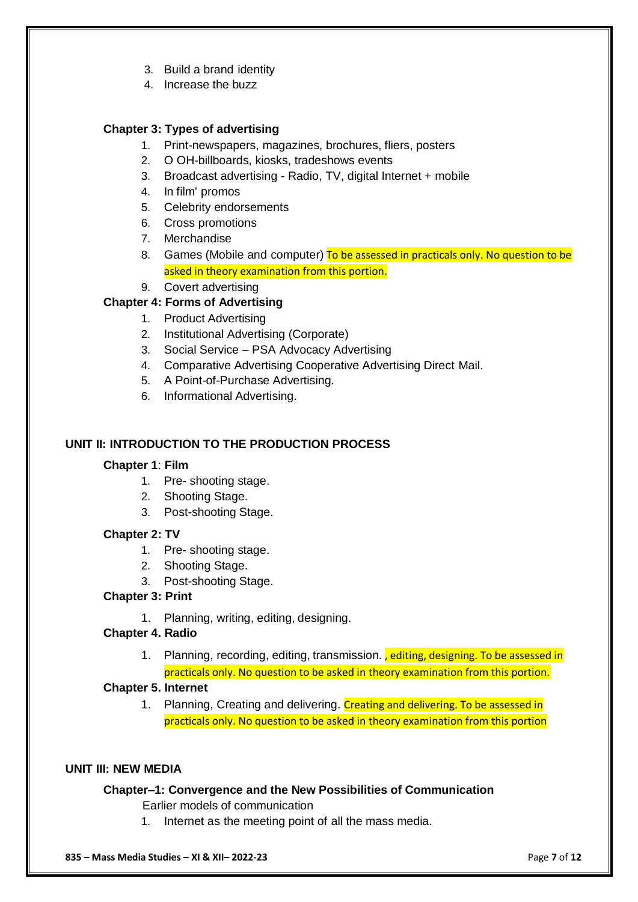- 3. Build a brand identity
- 4. Increase the buzz

#### **Chapter 3: Types of advertising**

- 1. Print-newspapers, magazines, brochures, fliers, posters
- 2. O OH-billboards, kiosks, tradeshows events
- 3. Broadcast advertising Radio, TV, digital Internet + mobile
- 4. In film' promos
- 5. Celebrity endorsements
- 6. Cross promotions
- 7. Merchandise
- 8. Games (Mobile and computer) To be assessed in practicals only. No question to be asked in theory examination from this portion.
- 9. Covert advertising

#### **Chapter 4: Forms of Advertising**

- 1. Product Advertising
- 2. Institutional Advertising (Corporate)
- 3. Social Service PSA Advocacy Advertising
- 4. Comparative Advertising Cooperative Advertising Direct Mail.
- 5. A Point-of-Purchase Advertising.
- 6. Informational Advertising.

#### **UNIT II: INTRODUCTION TO THE PRODUCTION PROCESS**

#### **Chapter 1**: **Film**

- 1. Pre- shooting stage.
- 2. Shooting Stage.
- 3. Post-shooting Stage.

#### **Chapter 2: TV**

- 1. Pre- shooting stage.
- 2. Shooting Stage.
- 3. Post-shooting Stage.

#### **Chapter 3: Print**

1. Planning, writing, editing, designing.

#### **Chapter 4. Radio**

1. Planning, recording, editing, transmission., editing, designing. To be assessed in practicals only. No question to be asked in theory examination from this portion.

#### **Chapter 5. Internet**

1. Planning, Creating and delivering. Creating and delivering. To be assessed in practicals only. No question to be asked in theory examination from this portion

#### **UNIT III: NEW MEDIA**

#### **Chapter–1: Convergence and the New Possibilities of Communication**

- Earlier models of communication
- 1. Internet as the meeting point of all the mass media.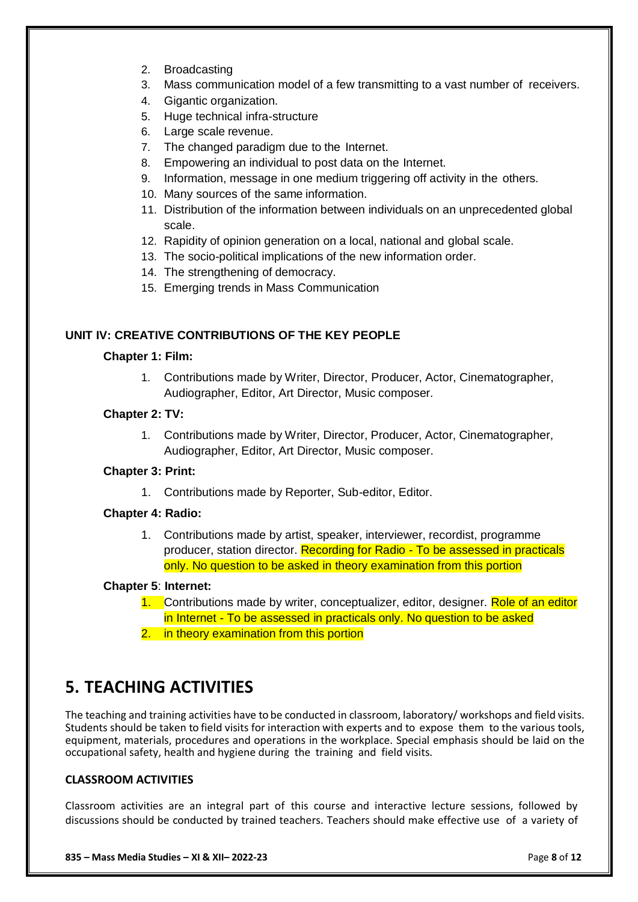- 2. Broadcasting
- 3. Mass communication model of a few transmitting to a vast number of receivers.
- 4. Gigantic organization.
- 5. Huge technical infra-structure
- 6. Large scale revenue.
- 7. The changed paradigm due to the Internet.
- 8. Empowering an individual to post data on the Internet.
- 9. Information, message in one medium triggering off activity in the others.
- 10. Many sources of the same information.
- 11. Distribution of the information between individuals on an unprecedented global scale.
- 12. Rapidity of opinion generation on a local, national and global scale.
- 13. The socio-political implications of the new information order.
- 14. The strengthening of democracy.
- 15. Emerging trends in Mass Communication

#### **UNIT IV: CREATIVE CONTRIBUTIONS OF THE KEY PEOPLE**

#### **Chapter 1: Film:**

1. Contributions made by Writer, Director, Producer, Actor, Cinematographer, Audiographer, Editor, Art Director, Music composer.

#### **Chapter 2: TV:**

1. Contributions made by Writer, Director, Producer, Actor, Cinematographer, Audiographer, Editor, Art Director, Music composer.

#### **Chapter 3: Print:**

1. Contributions made by Reporter, Sub-editor, Editor.

#### **Chapter 4: Radio:**

1. Contributions made by artist, speaker, interviewer, recordist, programme producer, station director. Recording for Radio - To be assessed in practicals only. No question to be asked in theory examination from this portion

#### **Chapter 5**: **Internet:**

- 1. Contributions made by writer, conceptualizer, editor, designer. Role of an editor in Internet - To be assessed in practicals only. No question to be asked
- 2. in theory examination from this portion

## **5. TEACHING ACTIVITIES**

The teaching and training activities have to be conducted in classroom, laboratory/ workshops and field visits. Students should be taken to field visits for interaction with experts and to expose them to the various tools, equipment, materials, procedures and operations in the workplace. Special emphasis should be laid on the occupational safety, health and hygiene during the training and field visits.

#### **CLASSROOM ACTIVITIES**

Classroom activities are an integral part of this course and interactive lecture sessions, followed by discussions should be conducted by trained teachers. Teachers should make effective use of a variety of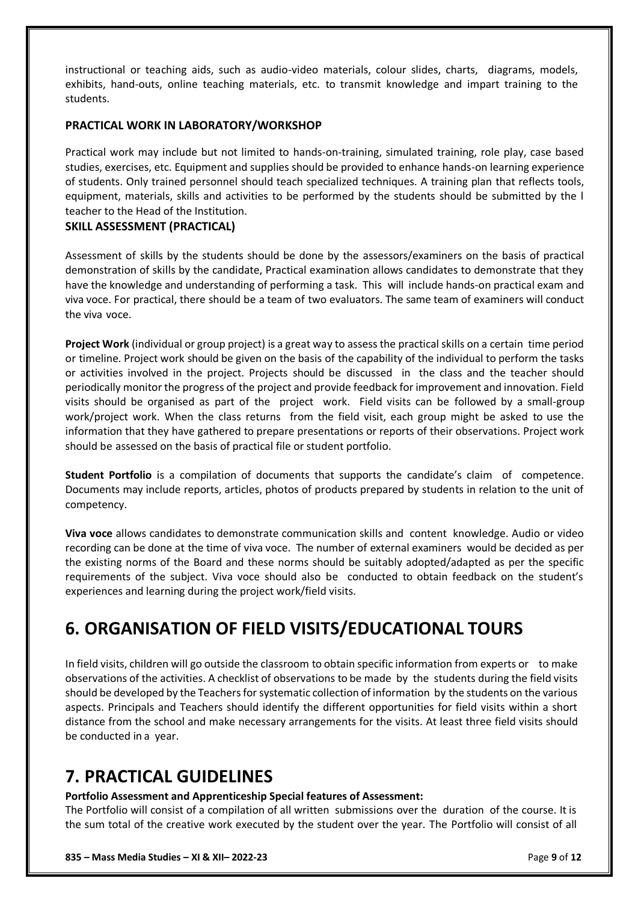instructional or teaching aids, such as audio-video materials, colour slides, charts, diagrams, models, exhibits, hand-outs, online teaching materials, etc. to transmit knowledge and impart training to the students.

#### **PRACTICAL WORK IN LABORATORY/WORKSHOP**

Practical work may include but not limited to hands-on-training, simulated training, role play, case based studies, exercises, etc. Equipment and supplies should be provided to enhance hands-on learning experience of students. Only trained personnel should teach specialized techniques. A training plan that reflects tools, equipment, materials, skills and activities to be performed by the students should be submitted by the l teacher to the Head of the Institution.

#### **SKILL ASSESSMENT (PRACTICAL)**

Assessment of skills by the students should be done by the assessors/examiners on the basis of practical demonstration of skills by the candidate, Practical examination allows candidates to demonstrate that they have the knowledge and understanding of performing a task. This will include hands-on practical exam and viva voce. For practical, there should be a team of two evaluators. The same team of examiners will conduct the viva voce.

**Project Work** (individual or group project) is a great way to assess the practical skills on a certain time period or timeline. Project work should be given on the basis of the capability of the individual to perform the tasks or activities involved in the project. Projects should be discussed in the class and the teacher should periodically monitor the progress of the project and provide feedback for improvement and innovation. Field visits should be organised as part of the project work. Field visits can be followed by a small-group work/project work. When the class returns from the field visit, each group might be asked to use the information that they have gathered to prepare presentations or reports of their observations. Project work should be assessed on the basis of practical file or student portfolio.

**Student Portfolio** is a compilation of documents that supports the candidate's claim of competence. Documents may include reports, articles, photos of products prepared by students in relation to the unit of competency.

**Viva voce** allows candidates to demonstrate communication skills and content knowledge. Audio or video recording can be done at the time of viva voce. The number of external examiners would be decided as per the existing norms of the Board and these norms should be suitably adopted/adapted as per the specific requirements of the subject. Viva voce should also be conducted to obtain feedback on the student's experiences and learning during the project work/field visits.

## **6. ORGANISATION OF FIELD VISITS/EDUCATIONAL TOURS**

In field visits, children will go outside the classroom to obtain specific information from experts or to make observations of the activities. A checklist of observations to be made by the students during the field visits should be developed by the Teachers for systematic collection of information by the students on the various aspects. Principals and Teachers should identify the different opportunities for field visits within a short distance from the school and make necessary arrangements for the visits. At least three field visits should be conducted in a year.

## **7. PRACTICAL GUIDELINES**

#### **Portfolio Assessment and Apprenticeship Special features of Assessment:**

The Portfolio will consist of a compilation of all written submissions over the duration of the course. It is the sum total of the creative work executed by the student over the year. The Portfolio will consist of all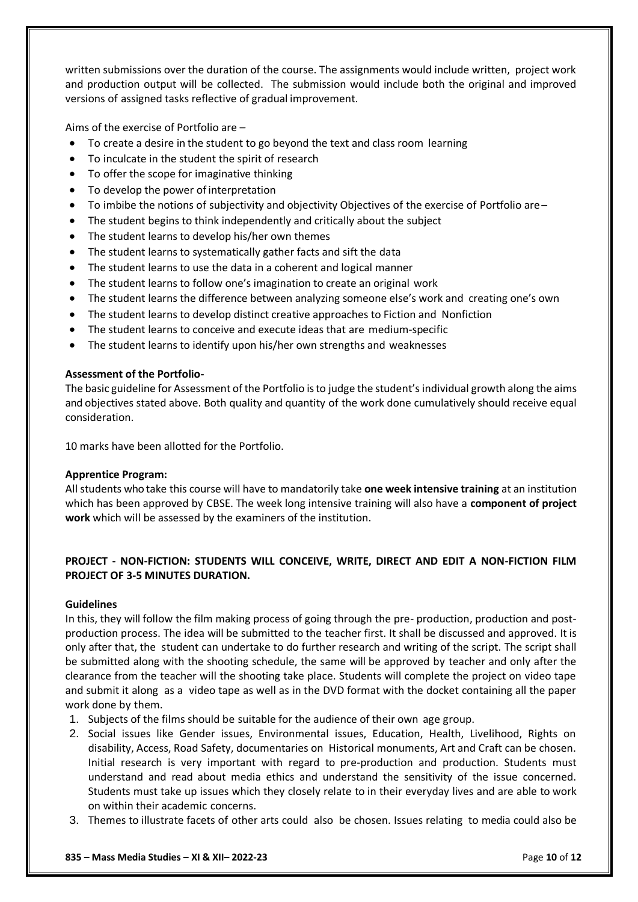written submissions over the duration of the course. The assignments would include written, project work and production output will be collected. The submission would include both the original and improved versions of assigned tasks reflective of gradual improvement.

Aims of the exercise of Portfolio are –

- To create a desire in the student to go beyond the text and class room learning
- To inculcate in the student the spirit of research
- To offer the scope for imaginative thinking
- To develop the power of interpretation
- To imbibe the notions of subjectivity and objectivity Objectives of the exercise of Portfolio are –
- The student begins to think independently and critically about the subject
- The student learns to develop his/her own themes
- The student learns to systematically gather facts and sift the data
- The student learns to use the data in a coherent and logical manner
- The student learns to follow one's imagination to create an original work
- The student learns the difference between analyzing someone else's work and creating one's own
- The student learns to develop distinct creative approaches to Fiction and Nonfiction
- The student learns to conceive and execute ideas that are medium-specific
- The student learns to identify upon his/her own strengths and weaknesses

#### **Assessment of the Portfolio-**

The basic guideline for Assessment of the Portfolio is to judge the student's individual growth along the aims and objectives stated above. Both quality and quantity of the work done cumulatively should receive equal consideration.

10 marks have been allotted for the Portfolio.

#### **Apprentice Program:**

All students who take this course will have to mandatorily take **one week intensive training** at an institution which has been approved by CBSE. The week long intensive training will also have a **component of project work** which will be assessed by the examiners of the institution.

#### **PROJECT - NON-FICTION: STUDENTS WILL CONCEIVE, WRITE, DIRECT AND EDIT A NON-FICTION FILM PROJECT OF 3-5 MINUTES DURATION.**

#### **Guidelines**

In this, they will follow the film making process of going through the pre- production, production and postproduction process. The idea will be submitted to the teacher first. It shall be discussed and approved. It is only after that, the student can undertake to do further research and writing of the script. The script shall be submitted along with the shooting schedule, the same will be approved by teacher and only after the clearance from the teacher will the shooting take place. Students will complete the project on video tape and submit it along as a video tape as well as in the DVD format with the docket containing all the paper work done by them.

- 1. Subjects of the films should be suitable for the audience of their own age group.
- 2. Social issues like Gender issues, Environmental issues, Education, Health, Livelihood, Rights on disability, Access, Road Safety, documentaries on Historical monuments, Art and Craft can be chosen. Initial research is very important with regard to pre-production and production. Students must understand and read about media ethics and understand the sensitivity of the issue concerned. Students must take up issues which they closely relate to in their everyday lives and are able to work on within their academic concerns.
- 3. Themes to illustrate facets of other arts could also be chosen. Issues relating to media could also be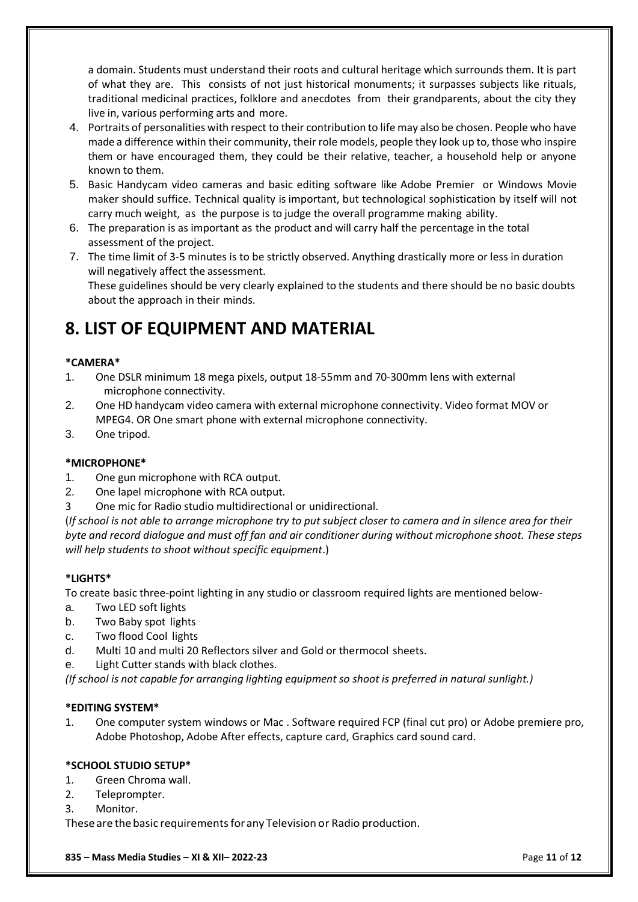a domain. Students must understand their roots and cultural heritage which surrounds them. It is part of what they are. This consists of not just historical monuments; it surpasses subjects like rituals, traditional medicinal practices, folklore and anecdotes from their grandparents, about the city they live in, various performing arts and more.

- 4. Portraits of personalities with respect to their contribution to life may also be chosen. People who have made a difference within their community, their role models, people they look up to, those who inspire them or have encouraged them, they could be their relative, teacher, a household help or anyone known to them.
- 5. Basic Handycam video cameras and basic editing software like Adobe Premier or Windows Movie maker should suffice. Technical quality is important, but technological sophistication by itself will not carry much weight, as the purpose is to judge the overall programme making ability.
- 6. The preparation is as important as the product and will carry half the percentage in the total assessment of the project.
- 7. The time limit of 3-5 minutes is to be strictly observed. Anything drastically more or less in duration will negatively affect the assessment. These guidelines should be very clearly explained to the students and there should be no basic doubts about the approach in their minds.

## **8. LIST OF EQUIPMENT AND MATERIAL**

#### **\*CAMERA\***

- 1. One DSLR minimum 18 mega pixels, output 18-55mm and 70-300mm lens with external microphone connectivity.
- 2. One HD handycam video camera with external microphone connectivity. Video format MOV or MPEG4. OR One smart phone with external microphone connectivity.
- 3. One tripod.

#### **\*MICROPHONE\***

- 1. One gun microphone with RCA output.
- 2. One lapel microphone with RCA output.
- 3 One mic for Radio studio multidirectional or unidirectional.

(*If school is not able to arrange microphone try to put subject closer to camera and in silence area for their byte and record dialogue and must off fan and air conditioner during without microphone shoot. These steps will help students to shoot without specific equipment*.)

#### **\*LIGHTS\***

To create basic three-point lighting in any studio or classroom required lights are mentioned below-

- a. Two LED soft lights
- b. Two Baby spot lights
- c. Two flood Cool lights
- d. Multi 10 and multi 20 Reflectors silver and Gold or thermocol sheets.
- e. Light Cutter stands with black clothes.

*(If school is not capable for arranging lighting equipment so shoot is preferred in natural sunlight.)*

#### **\*EDITING SYSTEM\***

1. One computer system windows or Mac . Software required FCP (final cut pro) or Adobe premiere pro, Adobe Photoshop, Adobe After effects, capture card, Graphics card sound card.

#### **\*SCHOOL STUDIO SETUP\***

- 1. Green Chroma wall.
- 2. Teleprompter.
- 3. Monitor.

These are the basic requirements for any Television or Radio production.